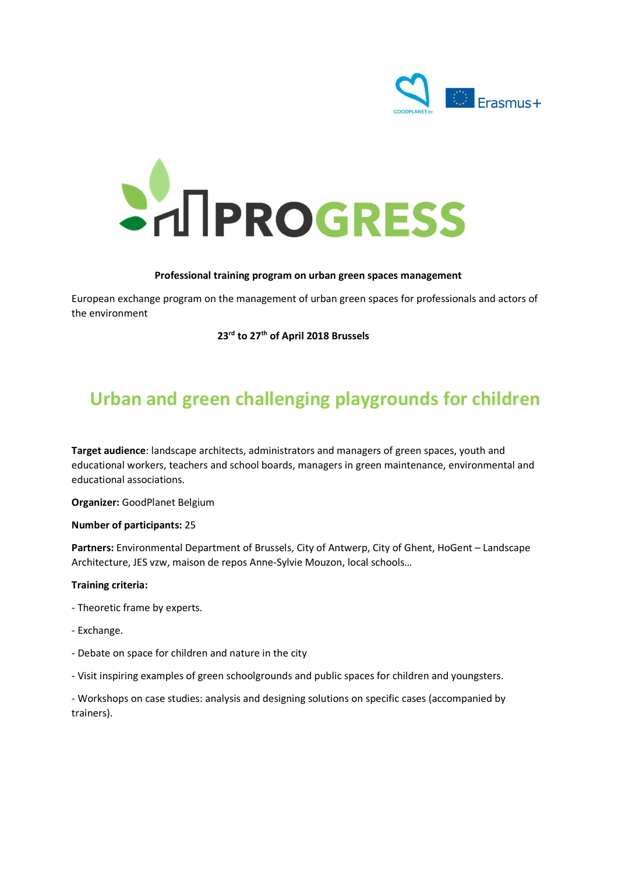



#### Professional training program on urban green spaces management

European exchange program on the management of urban green spaces for professionals and actors of the environment

23<sup>rd</sup> to 27<sup>th</sup> of April 2018 Brussels

# Urban and green challenging playgrounds for children

Target audience: landscape architects, administrators and managers of green spaces, youth and educational workers, teachers and school boards, managers in green maintenance, environmental and educational associations.

Organizer: GoodPlanet Belgium Number of participants: <sup>25</sup>

Partners: Environmental Department of Brussels, City of Antwerp, City of Ghent, HoGent – Landscape Architecture, JES vzw, maison de repos Anne-Sylvie Mouzon, local schools…

#### Training criteria:

- Theoretic frame by experts.
- Exchange.
- Debate on space for children and nature in the city
- Visit inspiring examples of green schoolgrounds and public spaces for children and youngsters.

- Workshops on case studies: analysis and designing solutions on specific cases (accompanied by trainers).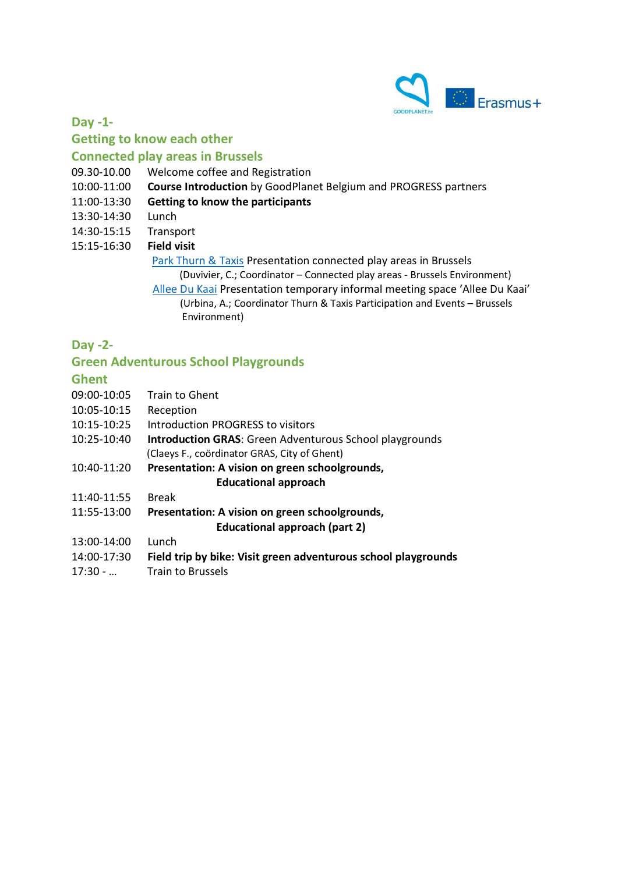

## Day -1- Getting to know each other

## Connected play areas in Brussels

- 09.30-10.00 Welcome coffee and Registration
- 10:00-11:00 Course Introduction by GoodPlanet Belgium and PROGRESS partners
- 11:00-13:30 Getting to know the participants
- 13:30-14:30 Lunch
- 14:30-15:15 Transport
- 15:15-16:30 Field visit

 Park Thurn & Taxis Presentation connected play areas in Brussels (Duvivier, C.; Coordinator – Connected play areas - Brussels Environment)

 Allee Du Kaai Presentation temporary informal meeting space 'Allee Du Kaai' (Urbina, A.; Coordinator Thurn & Taxis Participation and Events – Brussels Environment)

#### Day -2-

#### Green Adventurous School Playgrounds

#### Ghent

| 09:00-10:05 | <b>Train to Ghent</b>                                          |
|-------------|----------------------------------------------------------------|
| 10:05-10:15 | Reception                                                      |
| 10:15-10:25 | Introduction PROGRESS to visitors                              |
| 10:25-10:40 | <b>Introduction GRAS:</b> Green Adventurous School playgrounds |
|             | (Claeys F., coördinator GRAS, City of Ghent)                   |
| 10:40-11:20 | Presentation: A vision on green schoolgrounds,                 |
|             | <b>Educational approach</b>                                    |
| 11:40-11:55 | <b>Break</b>                                                   |
| 11:55-13:00 | Presentation: A vision on green schoolgrounds,                 |
|             | Educational approach (part 2)                                  |
| 13:00-14:00 | Lunch                                                          |
| 14:00-17:30 | Field trip by bike: Visit green adventurous school playgrounds |
| $17:30 - $  | <b>Train to Brussels</b>                                       |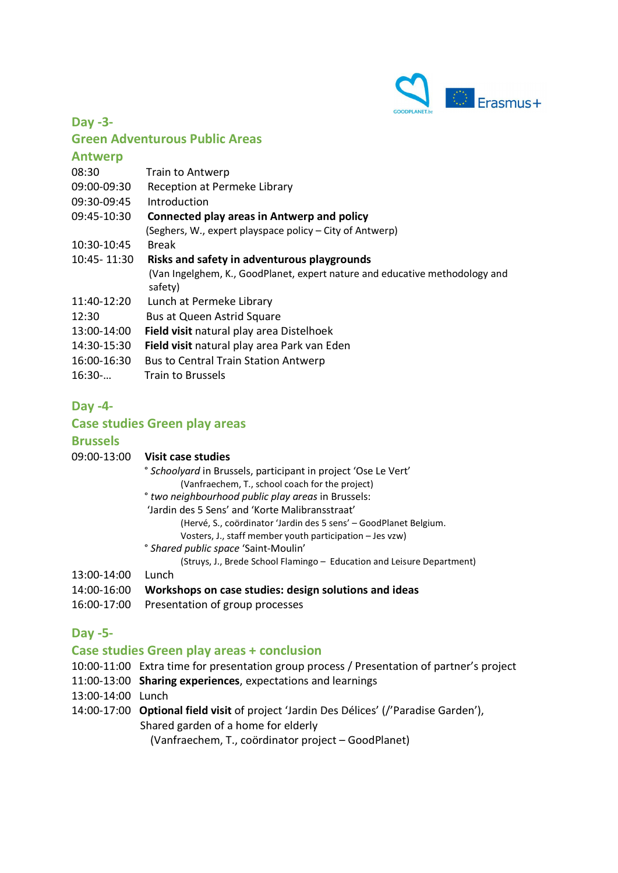

Day -3-

#### Green Adventurous Public Areas

#### **Antwerp**

| 08:30       | <b>Train to Antwerp</b>                                                                |
|-------------|----------------------------------------------------------------------------------------|
| 09:00-09:30 | Reception at Permeke Library                                                           |
| 09:30-09:45 | Introduction                                                                           |
| 09:45-10:30 | Connected play areas in Antwerp and policy                                             |
|             | (Seghers, W., expert playspace policy – City of Antwerp)                               |
| 10:30-10:45 | <b>Break</b>                                                                           |
| 10:45-11:30 | Risks and safety in adventurous playgrounds                                            |
|             | (Van Ingelghem, K., GoodPlanet, expert nature and educative methodology and<br>safety) |
| 11:40-12:20 | Lunch at Permeke Library                                                               |
| 12:30       | Bus at Queen Astrid Square                                                             |
| 13:00-14:00 | Field visit natural play area Distelhoek                                               |
| 14:30-15:30 | Field visit natural play area Park van Eden                                            |
| 16:00-16:30 | <b>Bus to Central Train Station Antwerp</b>                                            |
| 16:30       | Train to Brussels                                                                      |
|             |                                                                                        |

# Day -4-

## Case studies Green play areas

#### **Brussels**

| 09:00-13:00 | Visit case studies                                                        |
|-------------|---------------------------------------------------------------------------|
|             | <sup>o</sup> Schoolyard in Brussels, participant in project 'Ose Le Vert' |
|             | (Vanfraechem, T., school coach for the project)                           |
|             | ° two neighbourhood public play areas in Brussels:                        |
|             | 'Jardin des 5 Sens' and 'Korte Malibransstraat'                           |
|             | (Hervé, S., coördinator 'Jardin des 5 sens' – GoodPlanet Belgium.         |
|             | Vosters, J., staff member youth participation - Jes vzw)                  |
|             |                                                                           |

- ° Shared public space 'Saint-Moulin'
- (Struys, J., Brede School Flamingo Education and Leisure Department)

#### 13:00-14:00 Lunch

- 14:00-16:00 Workshops on case studies: design solutions and ideas
- 16:00-17:00 Presentation of group processes

#### Day -5-

#### Case studies Green play areas + conclusion

- 10:00-11:00 Extra time for presentation group process / Presentation of partner's project
- 11:00-13:00 Sharing experiences, expectations and learnings
- 13:00-14:00 Lunch
- 14:00-17:00 Optional field visit of project 'Jardin Des Délices' (/'Paradise Garden'), Shared garden of a home for elderly

(Vanfraechem, T., coördinator project – GoodPlanet)